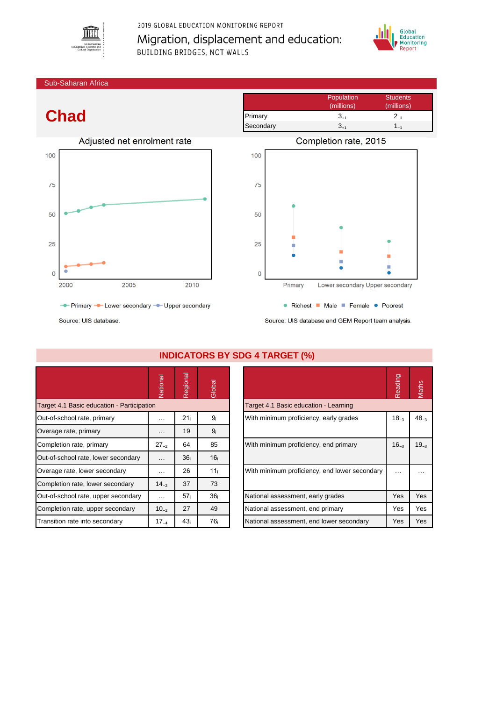

## 2019 GLOBAL EDUCATION MONITORING REPORT Migration, displacement and education: **BUILDING BRIDGES, NOT WALLS**



Sub-Saharan Africa

## **Chad**



- Primary - Lower secondary - Upper secondary

Population Students (millions) (millions) Primary  $3_{+1}$   $2_{-1}$ Secondary  $3_{+1}$   $1_{-1}$ 



Source: UIS database and GEM Report team analysis.

Source: UIS database

|                                            | National             | Regional        | Global          |                                               | Reading    | Maths     |
|--------------------------------------------|----------------------|-----------------|-----------------|-----------------------------------------------|------------|-----------|
| Target 4.1 Basic education - Participation |                      |                 |                 | Target 4.1 Basic education - Learning         |            |           |
| Out-of-school rate, primary                | $\cdots$             | 21 <sub>i</sub> | 9 <sub>i</sub>  | With minimum proficiency, early grades        |            | $48 -$    |
| Overage rate, primary                      | $\sim$ $\sim$ $\sim$ | 19              | 9 <sub>i</sub>  |                                               |            |           |
| Completion rate, primary                   | $27_{-2}$            | 64              | 85              | With minimum proficiency, end primary         | $16_{-3}$  | $19_{-3}$ |
| Out-of-school rate, lower secondary        | $\sim$ $\sim$ $\sim$ | 36 <sub>i</sub> | 16 <sub>i</sub> |                                               |            |           |
| Overage rate, lower secondary              | $\cdots$             | 26              | 11 <sub>i</sub> | With minimum proficiency, end lower secondary | $\cdots$   | $\cdots$  |
| Completion rate, lower secondary           | $14_{-2}$            | 37              | 73              |                                               |            |           |
| Out-of-school rate, upper secondary        | $\cdots$             | 57 <sub>i</sub> | 36 <sub>i</sub> | National assessment, early grades             | <b>Yes</b> | Yes       |
| Completion rate, upper secondary           | $10_{-2}$            | 27              | 49              | National assessment, end primary              | Yes        | Yes       |
| Transition rate into secondary             | $17_{-4}$            | 43 <sub>i</sub> | 76 <sub>i</sub> | National assessment, end lower secondary      | Yes        | Yes       |

## **INDICATORS BY SDG 4 TARGET (%)**

| עין ובשותו ד                                  |           |              |
|-----------------------------------------------|-----------|--------------|
|                                               | Reading   | <b>Maths</b> |
| Target 4.1 Basic education - Learning         |           |              |
| With minimum proficiency, early grades        | $18_{-3}$ | $48_{-3}$    |
| With minimum proficiency, end primary         | $16_{-3}$ | $19_{-3}$    |
| With minimum proficiency, end lower secondary |           |              |
| National assessment, early grades             | Yes       | Yes          |
| National assessment, end primary              | Yes       | Yes          |
| National assessment, end lower secondary      | Yes       | Yes          |
|                                               |           |              |